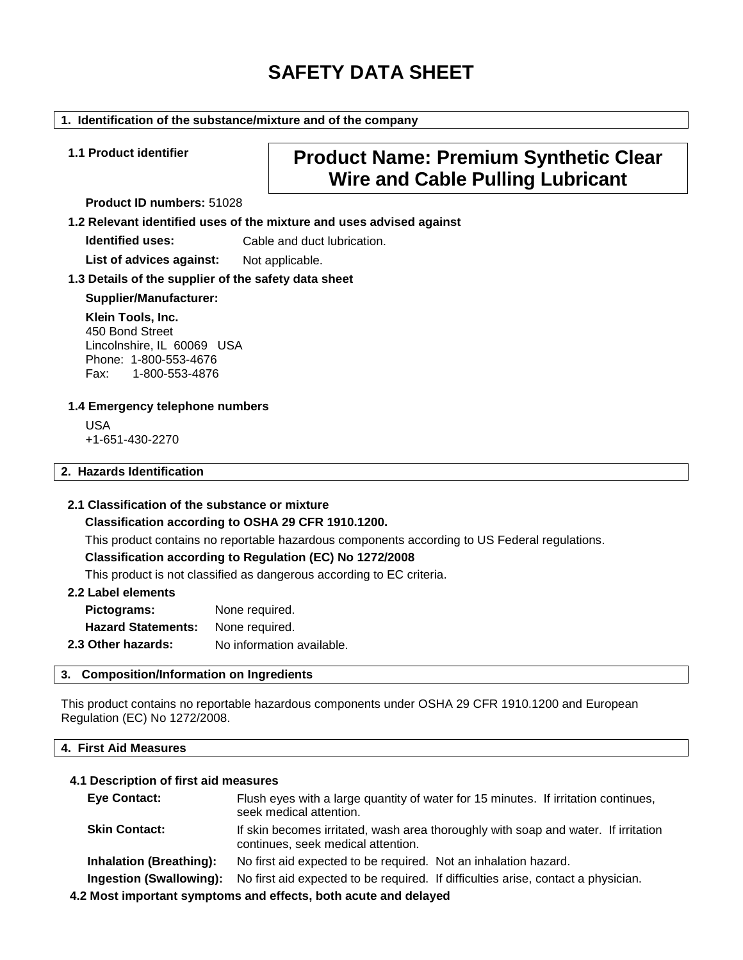# **SAFETY DATA SHEET**

#### **1. Identification of the substance/mixture and of the company**

# **1.1 Product identifier Product Name: Premium Synthetic Clear Wire and Cable Pulling Lubricant**

**Product ID numbers:** 51028

**1.2 Relevant identified uses of the mixture and uses advised against**

**Identified uses:** Cable and duct lubrication.

List of advices against: Not applicable.

#### **1.3 Details of the supplier of the safety data sheet**

#### **Supplier/Manufacturer:**

**Klein Tools, Inc.** 450 Bond Street Lincolnshire, IL 60069 USA Phone: 1-800-553-4676<br>Fax: 1-800-553-4876 Fax: 1-800-553-4876

#### **1.4 Emergency telephone numbers**

USA +1-651-430-2270

#### **2. Hazards Identification**

#### **2.1 Classification of the substance or mixture**

#### **Classification according to OSHA 29 CFR 1910.1200.**

This product contains no reportable hazardous components according to US Federal regulations.

#### **Classification according to Regulation (EC) No 1272/2008**

This product is not classified as dangerous according to EC criteria.

#### **2.2 Label elements**

| Pictograms:               | None required.            |
|---------------------------|---------------------------|
| <b>Hazard Statements:</b> | None required.            |
| 2.3 Other hazards:        | No information available. |

#### **3. Composition/Information on Ingredients**

This product contains no reportable hazardous components under OSHA 29 CFR 1910.1200 and European Regulation (EC) No 1272/2008.

#### **4. First Aid Measures**

#### **4.1 Description of first aid measures**

| <b>Eye Contact:</b>            | Flush eyes with a large quantity of water for 15 minutes. If irritation continues,<br>seek medical attention.            |
|--------------------------------|--------------------------------------------------------------------------------------------------------------------------|
| <b>Skin Contact:</b>           | If skin becomes irritated, wash area thoroughly with soap and water. If irritation<br>continues, seek medical attention. |
| <b>Inhalation (Breathing):</b> | No first aid expected to be required. Not an inhalation hazard.                                                          |
| <b>Ingestion (Swallowing):</b> | No first aid expected to be required. If difficulties arise, contact a physician.                                        |
|                                | A BH agus tarra ann an ann an an ann an an a-tha an a-tha an a-chan ann an a-tarra an a                                  |

**4.2 Most important symptoms and effects, both acute and delayed**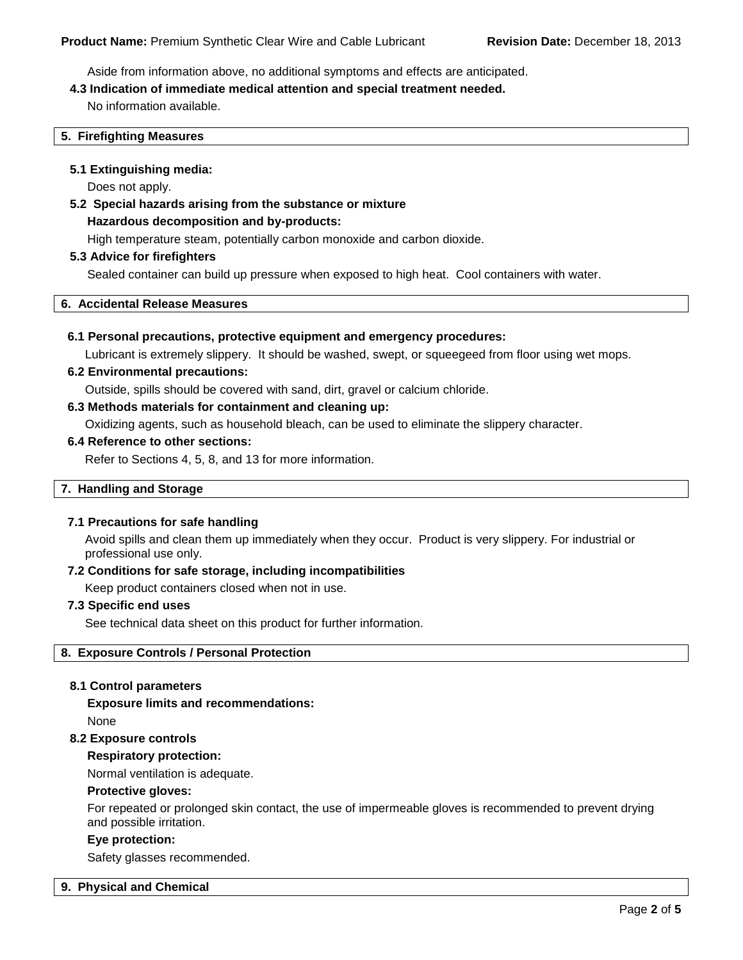Aside from information above, no additional symptoms and effects are anticipated.

#### **4.3 Indication of immediate medical attention and special treatment needed.**

No information available.

#### **5. Firefighting Measures**

#### **5.1 Extinguishing media:**

Does not apply.

**5.2 Special hazards arising from the substance or mixture Hazardous decomposition and by-products:**

High temperature steam, potentially carbon monoxide and carbon dioxide.

#### **5.3 Advice for firefighters**

Sealed container can build up pressure when exposed to high heat. Cool containers with water.

#### **6. Accidental Release Measures**

#### **6.1 Personal precautions, protective equipment and emergency procedures:**

Lubricant is extremely slippery. It should be washed, swept, or squeegeed from floor using wet mops.

#### **6.2 Environmental precautions:**

Outside, spills should be covered with sand, dirt, gravel or calcium chloride.

#### **6.3 Methods materials for containment and cleaning up:**

Oxidizing agents, such as household bleach, can be used to eliminate the slippery character.

#### **6.4 Reference to other sections:**

Refer to Sections 4, 5, 8, and 13 for more information.

#### **7. Handling and Storage**

#### **7.1 Precautions for safe handling**

Avoid spills and clean them up immediately when they occur. Product is very slippery. For industrial or professional use only.

#### **7.2 Conditions for safe storage, including incompatibilities**

Keep product containers closed when not in use.

#### **7.3 Specific end uses**

See technical data sheet on this product for further information.

### **8. Exposure Controls / Personal Protection**

#### **8.1 Control parameters**

**Exposure limits and recommendations:** None

### **8.2 Exposure controls**

#### **Respiratory protection:**

Normal ventilation is adequate.

#### **Protective gloves:**

For repeated or prolonged skin contact, the use of impermeable gloves is recommended to prevent drying and possible irritation.

#### **Eye protection:**

Safety glasses recommended.

#### **9. Physical and Chemical**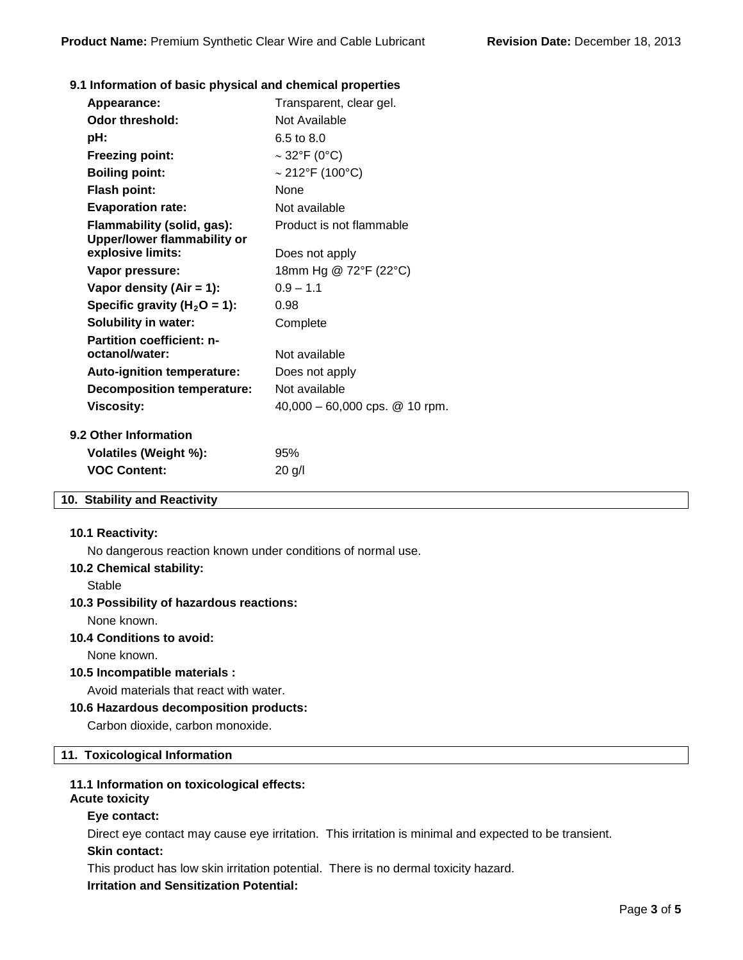#### **9.1 Information of basic physical and chemical properties**

| Appearance:                                               | Transparent, clear gel.          |
|-----------------------------------------------------------|----------------------------------|
| Odor threshold:                                           | Not Available                    |
| pH:                                                       | $6.5 \text{ to } 8.0$            |
| <b>Freezing point:</b>                                    | $\sim$ 32°F (0°C)                |
| <b>Boiling point:</b>                                     | $\sim$ 212°F (100°C)             |
| <b>Flash point:</b>                                       | <b>None</b>                      |
| <b>Evaporation rate:</b>                                  | Not available                    |
| Flammability (solid, gas):<br>Upper/lower flammability or | Product is not flammable         |
| explosive limits:                                         | Does not apply                   |
| Vapor pressure:                                           | 18mm Hg @ 72°F (22°C)            |
| Vapor density (Air = 1):                                  | $0.9 - 1.1$                      |
| Specific gravity ( $H_2O = 1$ ):                          | 0.98                             |
| <b>Solubility in water:</b>                               | Complete                         |
| <b>Partition coefficient: n-</b><br>octanol/water:        | Not available                    |
| <b>Auto-ignition temperature:</b>                         | Does not apply                   |
| <b>Decomposition temperature:</b>                         | Not available                    |
| <b>Viscosity:</b>                                         | $40,000 - 60,000$ cps. @ 10 rpm. |
| <b>9.2 Other Information</b>                              |                                  |
| Volatiles (Weight %):                                     | 95%                              |
| <b>VOC Content:</b>                                       | $20$ g/l                         |

## **10. Stability and Reactivity**

#### **10.1 Reactivity:**

No dangerous reaction known under conditions of normal use.

#### **10.2 Chemical stability:**

**Stable** 

#### **10.3 Possibility of hazardous reactions:**

None known.

### **10.4 Conditions to avoid:**

None known.

#### **10.5 Incompatible materials :**

Avoid materials that react with water.

#### **10.6 Hazardous decomposition products:**

Carbon dioxide, carbon monoxide.

#### **11. Toxicological Information**

#### **11.1 Information on toxicological effects:**

# **Acute toxicity**

#### **Eye contact:**

Direct eye contact may cause eye irritation. This irritation is minimal and expected to be transient.

#### **Skin contact:**

This product has low skin irritation potential. There is no dermal toxicity hazard.

**Irritation and Sensitization Potential:**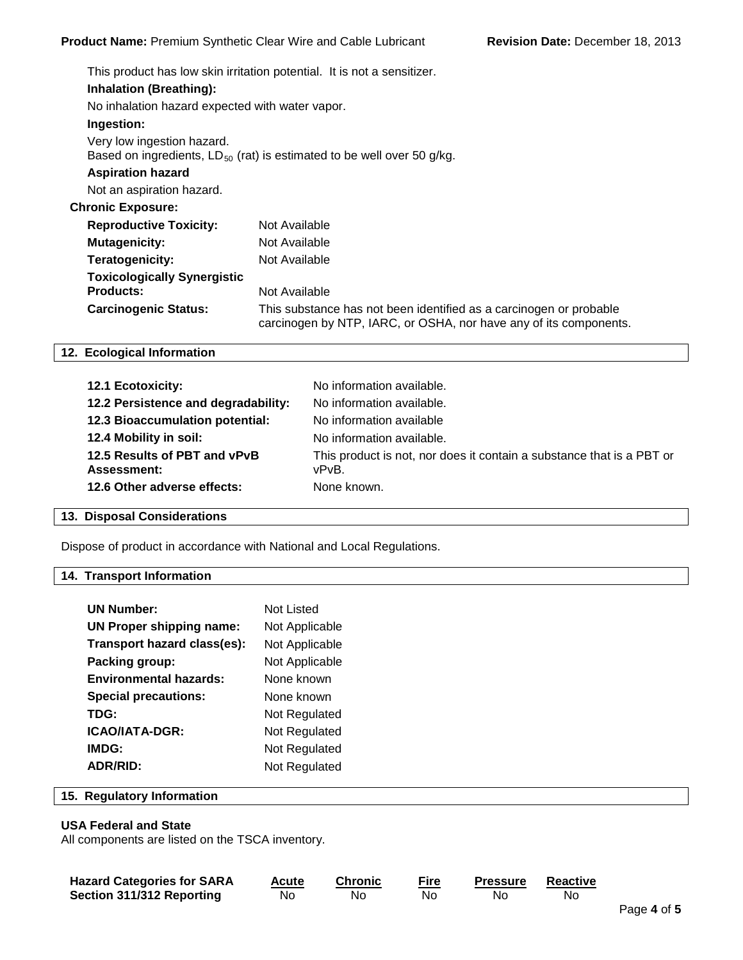|                                                                                       | This product has low skin irritation potential. It is not a sensitizer.             |
|---------------------------------------------------------------------------------------|-------------------------------------------------------------------------------------|
| <b>Inhalation (Breathing):</b>                                                        |                                                                                     |
| No inhalation hazard expected with water vapor.                                       |                                                                                     |
| Ingestion:                                                                            |                                                                                     |
| Very low ingestion hazard.                                                            | Based on ingredients, $LD_{50}$ (rat) is estimated to be well over 50 g/kg.         |
| <b>Aspiration hazard</b>                                                              |                                                                                     |
| Not an aspiration hazard.                                                             |                                                                                     |
| <b>Chronic Exposure:</b>                                                              |                                                                                     |
| <b>Reproductive Toxicity:</b>                                                         | Not Available                                                                       |
| <b>Mutagenicity:</b>                                                                  | Not Available                                                                       |
| Teratogenicity:                                                                       | Not Available                                                                       |
| <b>Toxicologically Synergistic</b><br><b>Products:</b><br><b>Carcinogenic Status:</b> | Not Available<br>This substance has not been identified as a carcinogen or probable |
|                                                                                       | carcinogen by NTP, IARC, or OSHA, nor have any of its components.                   |

#### **12. Ecological Information**

| 12.1 Ecotoxicity:                           | No information available.                                                      |
|---------------------------------------------|--------------------------------------------------------------------------------|
| 12.2 Persistence and degradability:         | No information available.                                                      |
| 12.3 Bioaccumulation potential:             | No information available                                                       |
| 12.4 Mobility in soil:                      | No information available.                                                      |
| 12.5 Results of PBT and vPvB<br>Assessment: | This product is not, nor does it contain a substance that is a PBT or<br>vPvB. |
| 12.6 Other adverse effects:                 | None known.                                                                    |

## **13. Disposal Considerations**

Dispose of product in accordance with National and Local Regulations.

# **14. Transport Information**

| <b>UN Number:</b>               | Not Listed     |
|---------------------------------|----------------|
| <b>UN Proper shipping name:</b> | Not Applicable |
| Transport hazard class(es):     | Not Applicable |
| Packing group:                  | Not Applicable |
| <b>Environmental hazards:</b>   | None known     |
| <b>Special precautions:</b>     | None known     |
| TDG:                            | Not Regulated  |
| <b>ICAO/IATA-DGR:</b>           | Not Regulated  |
| IMDG:                           | Not Regulated  |
| <b>ADR/RID:</b>                 | Not Regulated  |

#### **15. Regulatory Information**

#### **USA Federal and State**

All components are listed on the TSCA inventory.

| <b>Hazard Categories for SARA</b> | Acute | Chronic | <b>Fire</b> | <b>Pressure</b> | Reactive |
|-----------------------------------|-------|---------|-------------|-----------------|----------|
| Section 311/312 Reporting         | No    | No      | Νo          | No.             | No       |